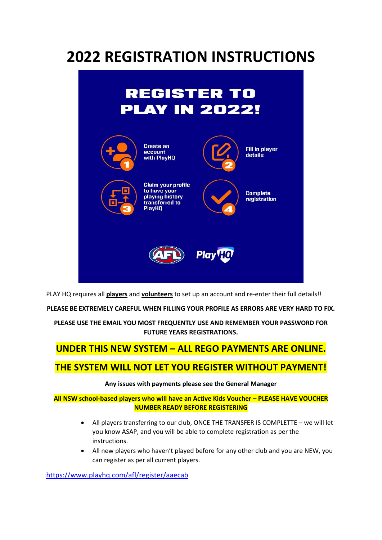# **2022 REGISTRATION INSTRUCTIONS**



PLAY HQ requires all **players** and **volunteers** to set up an account and re-enter their full details!!

**PLEASE BE EXTREMELY CAREFUL WHEN FILLING YOUR PROFILE AS ERRORS ARE VERY HARD TO FIX.**

**PLEASE USE THE EMAIL YOU MOST FREQUENTLY USE AND REMEMBER YOUR PASSWORD FOR FUTURE YEARS REGISTRATIONS.**

## **UNDER THIS NEW SYSTEM – ALL REGO PAYMENTS ARE ONLINE.**

## **THE SYSTEM WILL NOT LET YOU REGISTER WITHOUT PAYMENT!**

#### **Any issues with payments please see the General Manager**

**All NSW school-based players who will have an Active Kids Voucher – PLEASE HAVE VOUCHER NUMBER READY BEFORE REGISTERING**

- All players transferring to our club, ONCE THE TRANSFER IS COMPLETTE we will let you know ASAP, and you will be able to complete registration as per the instructions.
- All new players who haven't played before for any other club and you are NEW, you can register as per all current players.

<https://www.playhq.com/afl/register/aaecab>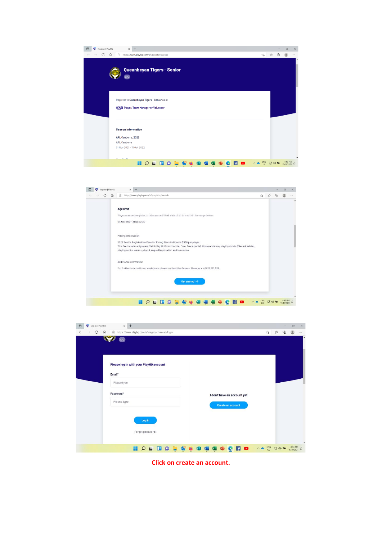| n | Register   PlayHQ |   | $\times$ +                                                                                          |                            |   |   |  |  |  |  |  |            |   |   | $\Box$                | $\times$ |
|---|-------------------|---|-----------------------------------------------------------------------------------------------------|----------------------------|---|---|--|--|--|--|--|------------|---|---|-----------------------|----------|
|   | C                 | ⋒ | 合 https://www.playhq.com/afl/register/aaecab                                                        |                            |   |   |  |  |  |  |  | $\vec{10}$ | ☆ | ₲ |                       | $\cdots$ |
|   |                   |   | AFL                                                                                                 | Queanbeyan Tigers - Senior |   |   |  |  |  |  |  |            |   |   |                       |          |
|   |                   |   | Register to Queanbeyan Tigers - Senior as a:<br>@ Player, Team Manager or Volunteer                 |                            |   |   |  |  |  |  |  |            |   |   |                       |          |
|   |                   |   | <b>Season information</b><br>AFL Canberra, 2022<br><b>AFL Canberra</b><br>01 Nov 2021 - 31 Oct 2022 |                            |   |   |  |  |  |  |  |            |   |   |                       |          |
|   |                   |   | Alexander Monache                                                                                   |                            |   |   |  |  |  |  |  |            |   |   |                       |          |
|   |                   |   |                                                                                                     |                            | Q | o |  |  |  |  |  |            |   |   | 4:42 PM<br>15/11/2021 |          |

| C<br>$\Omega$ | https://www.playhq.com/afl/register/aaecab<br><b>Age limit</b><br>Players can only register to this season if their date of birth is within the range below:<br>01 Jan 1900 - 31 Dec 2017    | 论                         | ☆ | Għ |            |
|---------------|----------------------------------------------------------------------------------------------------------------------------------------------------------------------------------------------|---------------------------|---|----|------------|
|               |                                                                                                                                                                                              |                           |   |    |            |
|               |                                                                                                                                                                                              |                           |   |    |            |
|               |                                                                                                                                                                                              |                           |   |    |            |
|               |                                                                                                                                                                                              |                           |   |    |            |
|               |                                                                                                                                                                                              |                           |   |    |            |
|               | Pricing information                                                                                                                                                                          |                           |   |    |            |
|               | 2022 Senior Registration Fees for Rising Stars to Open is \$350 per player.                                                                                                                  |                           |   |    |            |
|               | This fee includes all players Match Day Uniform (Hoodie, Polo, Track pants), Home and Away playing shorts (Black & White),<br>playing socks, warm up top, League Registration and Insurance. |                           |   |    |            |
|               |                                                                                                                                                                                              |                           |   |    |            |
|               | Additional Information                                                                                                                                                                       |                           |   |    |            |
|               | For further information or assistance please contact the General Manager on 0429 913 436.                                                                                                    |                           |   |    |            |
|               |                                                                                                                                                                                              |                           |   |    |            |
|               |                                                                                                                                                                                              |                           |   |    |            |
|               |                                                                                                                                                                                              |                           |   |    |            |
|               |                                                                                                                                                                                              |                           |   |    |            |
|               |                                                                                                                                                                                              |                           |   |    |            |
|               |                                                                                                                                                                                              | Get started $\rightarrow$ |   |    | 15/11/2021 |

| <b>T</b> Log In   PlayHQ<br>$\Box$                   | $\times$ +                                                                          |                                                                                                                        |                                                                                                                                                                                                                                                                                                                                                     |   | $\Box$                | $\times$      |
|------------------------------------------------------|-------------------------------------------------------------------------------------|------------------------------------------------------------------------------------------------------------------------|-----------------------------------------------------------------------------------------------------------------------------------------------------------------------------------------------------------------------------------------------------------------------------------------------------------------------------------------------------|---|-----------------------|---------------|
| $\leftarrow$<br>$\circ$<br>$\Omega$<br>$\rightarrow$ | https://www.playhq.com/afl/register/aaecab/login<br>$(\mathbf{AFL})$                |                                                                                                                        | $\begin{picture}(20,20) \put(0,0){\line(1,0){10}} \put(15,0){\line(1,0){10}} \put(15,0){\line(1,0){10}} \put(15,0){\line(1,0){10}} \put(15,0){\line(1,0){10}} \put(15,0){\line(1,0){10}} \put(15,0){\line(1,0){10}} \put(15,0){\line(1,0){10}} \put(15,0){\line(1,0){10}} \put(15,0){\line(1,0){10}} \put(15,0){\line(1,0){10}} \put(15,0){\line(1$ | ⊕ |                       | $\cdots$<br>۰ |
| Email*                                               | Please log in with your PlayHQ account                                              |                                                                                                                        |                                                                                                                                                                                                                                                                                                                                                     |   |                       |               |
|                                                      | Please type                                                                         |                                                                                                                        |                                                                                                                                                                                                                                                                                                                                                     |   |                       |               |
|                                                      | Password*<br>I don't have an account yet<br>Please type<br><b>Create an account</b> |                                                                                                                        |                                                                                                                                                                                                                                                                                                                                                     |   |                       |               |
|                                                      | Log in<br>Forgot password?                                                          |                                                                                                                        |                                                                                                                                                                                                                                                                                                                                                     |   |                       |               |
|                                                      | $\bullet$<br>O                                                                      | $\begin{array}{ccc}\n\bullet & \text{ENC} & \Box & \text{c} \text{)} & \bullet \text{)} & \bullet \text{} \end{array}$ |                                                                                                                                                                                                                                                                                                                                                     |   | 4:44 PM<br>15/11/2021 |               |

**Click on create an account.**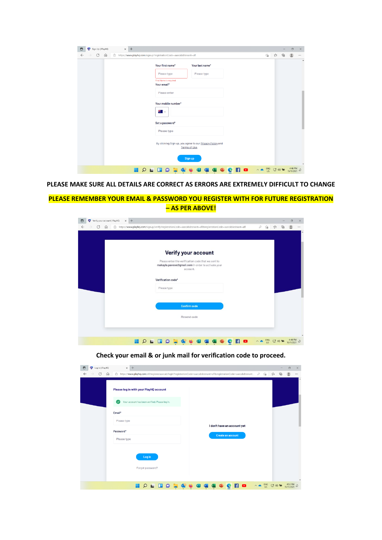| $\times$ +<br>Sign Up   PlayHQ<br>10 |                                                                                                                                                                             |                                                                                                |   |   | $\Box$                | $\times$ |
|--------------------------------------|-----------------------------------------------------------------------------------------------------------------------------------------------------------------------------|------------------------------------------------------------------------------------------------|---|---|-----------------------|----------|
| C<br>⋒<br>$\leftarrow$               | https://www.playhq.com/signup?registrationCode=aaecab&tenant=afl                                                                                                            | $\vec{c}$                                                                                      | ☆ | ⊕ |                       | $\cdots$ |
|                                      | Your first name*<br>Your last name*<br>Please type<br>Please type<br>First Name is required<br>Your email*<br>Please enter<br>Your mobile number*<br>* →<br>Set a password* |                                                                                                |   |   |                       |          |
|                                      | Please type<br>By clicking Sign up, you agree to our Privacy Policy and<br>Terms of Use.<br>Sign up                                                                         | $\begin{array}{ccccc} \wedge & \bullet & \text{ENG} & \Box & \text{QD} & \text{M} \end{array}$ |   |   | 4:46 PM<br>15/11/2021 |          |

**PLEASE MAKE SURE ALL DETAILS ARE CORRECT AS ERRORS ARE EXTREMELY DIFFICULT TO CHANGE**

#### **PLEASE REMEMBER YOUR EMAIL & PASSWORD YOU REGISTER WITH FOR FUTURE REGISTRATION – AS PER ABOVE!**

| Verify your account   PlayHQ<br>$\times$ +<br>HQ |                                                                                                                                                                                  |   |            |   |   | $\Box$     | $\times$ |
|--------------------------------------------------|----------------------------------------------------------------------------------------------------------------------------------------------------------------------------------|---|------------|---|---|------------|----------|
| $\bigcirc$<br>$\Omega$<br>G                      | https://www.playhq.com/signup/verify?registrationCode=aaecab&tenant=afl&registrationCode=aaecab&tenant=afl                                                                       | D | $\vec{a}$  | ど | ⊕ |            |          |
|                                                  | Verify your account<br>Please enter the verification code that we sent to<br>makayla.pavese@gmail.com in order to activate your<br>account.<br>Verification code*<br>Please type |   |            |   |   |            |          |
|                                                  | <b>Confirm code</b><br>Resend code                                                                                                                                               |   |            |   |   |            |          |
|                                                  | o                                                                                                                                                                                |   | <b>ENG</b> |   |   | 15/11/2021 |          |

**Check your email & or junk mail for verification code to proceed.**

|              | T Log In   PlayHQ | $\times$ +<br>$\Box$<br>$\times$                                                                                                                                                                                                                       |
|--------------|-------------------|--------------------------------------------------------------------------------------------------------------------------------------------------------------------------------------------------------------------------------------------------------|
| $\leftarrow$ | C<br>⋒            | 습 https://www.playhq.com/afl/register/aaecab/login?registrationCode=aaecab&tenant=afl&registrationCode=aaecab&tenant<br>D<br>ó<br>సం<br>⊕<br>$\cdots$                                                                                                  |
|              |                   | Please log in with your PlayHQ account                                                                                                                                                                                                                 |
|              |                   | Your account has been verified. Please log in.<br>$\checkmark$                                                                                                                                                                                         |
|              |                   | Email*                                                                                                                                                                                                                                                 |
|              |                   | Please type<br>I don't have an account yet                                                                                                                                                                                                             |
|              |                   | Password*                                                                                                                                                                                                                                              |
|              |                   | Create an account<br>Please type                                                                                                                                                                                                                       |
|              |                   |                                                                                                                                                                                                                                                        |
|              |                   | Log in                                                                                                                                                                                                                                                 |
|              |                   | Forgot password?                                                                                                                                                                                                                                       |
|              |                   |                                                                                                                                                                                                                                                        |
|              |                   | $\wedge \begin{array}{cc} \bullet & \text{ENG} \\ \bullet & \text{US} \end{array} \begin{array}{c} \Box \end{array} \begin{array}{c} \text{d} \varnothing \end{array} \begin{array}{c} \text{d} \varnothing \end{array}$<br>4:53 PM<br>15/11/2021<br>o |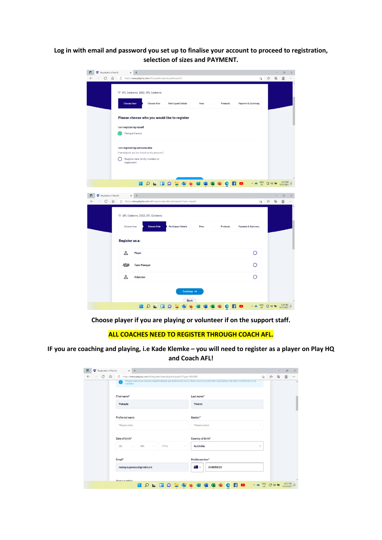**Log in with email and password you set up to finalise your account to proceed to registration, selection of sizes and PAYMENT.**

|              | Registration   PlayHQ           | $+$<br>×                                                                                                                       |                                       |          |                                 |                                  | $\Box$                           |
|--------------|---------------------------------|--------------------------------------------------------------------------------------------------------------------------------|---------------------------------------|----------|---------------------------------|----------------------------------|----------------------------------|
|              | C<br>⋒                          | https://www.playhq.com/afl/register/aaecab/participant/1                                                                       |                                       |          | 宿 立                             | ⊕                                |                                  |
|              |                                 | ▽ AFL Canberra, 2022, AFL Canberra<br><b>Choose User</b><br><b>Choose Role</b>                                                 | <b>Participant Details</b><br>Fees    | Products | <b>Payment &amp; Summary</b>    |                                  |                                  |
|              |                                 | Please choose who you would like to register<br>I am registering myself<br>Makayla Pavese                                      |                                       |          |                                 |                                  |                                  |
|              |                                 | I am registering someone else<br>(Participant will be linked to my account)<br>∩<br>Register new family member or<br>dependant |                                       |          |                                 |                                  |                                  |
| ▫            | <b>To</b> Registration   PlayHQ | H<br>$\times$ +                                                                                                                | <b>PERDESCRE</b>                      | o        | $_{\rm US}^{\rm ENG}$<br>$\sim$ | $C_1^* \rightsquigarrow \bullet$ | 4:55 PM<br>15/11/2021<br>$\circ$ |
| $\leftarrow$ | C<br>⋒                          | https://www.playhq.com/afl/register/aaecab/participant/2?who=myself                                                            |                                       |          | ΰò                              | ☆<br>⊕                           | g<br>                            |
|              |                                 | ▽ AFL Canberra, 2022, AFL Canberra<br><b>Choose Role</b><br><b>Choose User</b><br>Register as a:                               | <b>Participant Details</b><br>Fees    | Products | Payment & Summary               |                                  |                                  |
|              |                                 | &<br>Player                                                                                                                    |                                       |          | Ο                               |                                  |                                  |
|              |                                 | 心理<br><b>Team Manager</b>                                                                                                      |                                       |          |                                 |                                  |                                  |
|              |                                 | &<br>Volunteer                                                                                                                 |                                       |          | Ω                               |                                  |                                  |
|              |                                 |                                                                                                                                | Continue $\rightarrow$<br><b>Back</b> |          | <b>ENG</b>                      |                                  | 4:56 PM<br>⊅<br>15/11/2021       |

**Choose player if you are playing or volunteer if on the support staff.**

### **ALL COACHES NEED TO REGISTER THROUGH COACH AFL.**

**IF you are coaching and playing, i.e Kade Klemke – you will need to register as a player on Play HQ and Coach AFL!**

| $_{\rm C}$<br>$\leftarrow$ | $\Omega$<br>合 https://www.playhq.com/afl/register/aaecab/participant/3?type=PLAYER |                                                                                                                                                  | $\sqrt{\mathsf{d}}$ | ☆ | ₲ |  |
|----------------------------|------------------------------------------------------------------------------------|--------------------------------------------------------------------------------------------------------------------------------------------------|---------------------|---|---|--|
|                            |                                                                                    | Please make sure the participant's details are entered correctly. Once continuing with the registration, the date of birth will not be editable. |                     |   |   |  |
|                            | First name*                                                                        | Last name*                                                                                                                                       |                     |   |   |  |
|                            | Makayla                                                                            | Pavese                                                                                                                                           |                     |   |   |  |
|                            | Preferred name                                                                     | Gender*                                                                                                                                          |                     |   |   |  |
|                            | Please enter                                                                       | Please select                                                                                                                                    |                     |   |   |  |
|                            | Date of birth*                                                                     | Country of birth*                                                                                                                                |                     |   |   |  |
|                            | <b>MM</b><br>YYYY.<br><b>DD</b><br>×.<br>$\sim$<br>$\sim$                          | Australia                                                                                                                                        | $\checkmark$        |   |   |  |
|                            | Email*                                                                             | Mobile number*                                                                                                                                   |                     |   |   |  |
|                            | makayla.pavese@gmail.com                                                           | 楽しい<br>0455158120                                                                                                                                |                     |   |   |  |
|                            | Hama number                                                                        |                                                                                                                                                  |                     |   |   |  |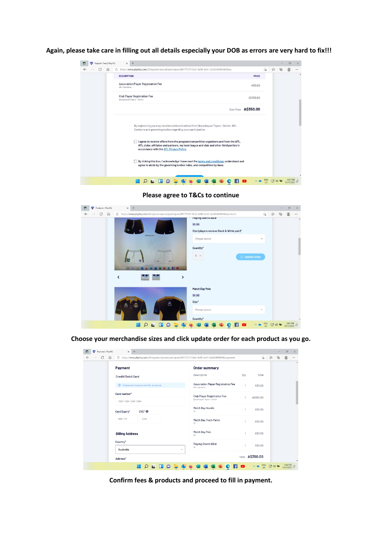**Again, please take care in filling out all details especially your DOB as errors are very hard to fix!!!**

| Register Fees   PlayHQ |   | $\times$           | $+$                                                                                                                                                                                                                              |                |   | $\sigma$ | $\times$ |
|------------------------|---|--------------------|----------------------------------------------------------------------------------------------------------------------------------------------------------------------------------------------------------------------------------|----------------|---|----------|----------|
| C<br>$\omega$          | â |                    | https://www.playhg.com/afl/register/aaecab/participant/8017721f-53e5-4e98-be41-d2a5b8888486/fees                                                                                                                                 | $\frac{1}{20}$ | € |          |          |
|                        |   | <b>DESCRIPTION</b> | PRICE                                                                                                                                                                                                                            |                |   |          | ٠        |
|                        |   | AFL Canberra       | Association Player Registration Fee<br>AS0.00                                                                                                                                                                                    |                |   |          |          |
|                        |   |                    | <b>Club Player Registration Fee</b><br>A\$350.00<br>Queanbeyan Tigers - Senior                                                                                                                                                   |                |   |          |          |
|                        |   |                    | Sub-Total A\$350.00                                                                                                                                                                                                              |                |   |          |          |
|                        |   |                    | By registering you may receive communications from Queanbeyan Tigers - Senior, AFL<br>Canberra and governing bodies regarding your participation.                                                                                |                |   |          |          |
|                        |   |                    | I agree to receive offers from the program/competition organisers and from the AFL,<br>a a<br>AFL clubs, affiliates and partners, my local league and club and other third parties in<br>accordance with the AFL Privacy Policy. |                |   |          |          |
|                        |   |                    | By ticking this box, I acknowledge I have read the terms and conditions, understand and<br>agree to abide by the governing bodies' rules, and competition by-laws.                                                               |                |   |          |          |
|                        |   |                    | Ω                                                                                                                                                                                                                                | ENG            |   | 5:02 PM  |          |

**Please agree to T&Cs to continue**



**Choose your merchandise sizes and click update order for each product as you go.**

| Payment   PlayHQ<br>$\times$<br><b>TEP</b> | $+$                                                                                                      |                                                                   |       |               |                                    |   | $\Box$                | $\times$         |
|--------------------------------------------|----------------------------------------------------------------------------------------------------------|-------------------------------------------------------------------|-------|---------------|------------------------------------|---|-----------------------|------------------|
| C<br>⋒<br>$\leftarrow$                     | ctil https://www.playhq.com/afl/register/aaecab/participant/8017721f-53e5-4e98-be41-d2a5b8888486/payment |                                                                   | సం    |               |                                    | ⊕ |                       |                  |
| Payment                                    |                                                                                                          | <b>Order summary</b>                                              |       |               |                                    |   |                       | $\blacktriangle$ |
| <b>Credit/Debit Card</b>                   |                                                                                                          | Description                                                       | Oty.  | Total         |                                    |   |                       |                  |
|                                            | This payment is secured with SSL encryption.                                                             | <b>Association Player Registration Fee</b><br>AFL Canberra        | ٠     | A\$0.00       |                                    |   |                       |                  |
| Card number*                               | 1234 1234 1234 1234                                                                                      | <b>Club Player Registration Fee</b><br>Queanbeyan Tigers - Senior |       | A\$350.00     |                                    |   |                       |                  |
| Card Expiry*                               | $CVC^*$                                                                                                  | Match Day Hoodie<br>18                                            |       | A\$0.00       |                                    |   |                       |                  |
| MM / YY                                    | CVC                                                                                                      | <b>Match Day Track Pants</b><br>$20\degree$                       | n.    | A\$0.00       |                                    |   |                       |                  |
| <b>Billing Address</b>                     |                                                                                                          | Match Day Polo<br>20 <sub>2</sub>                                 | 1     | A\$0.00       |                                    |   |                       |                  |
| Country*<br><b>Australia</b>               | $\checkmark$                                                                                             | Playing Shorts B&W<br>16                                          | n.    | A\$0.00       |                                    |   |                       |                  |
| Address*                                   |                                                                                                          |                                                                   | Total | A\$350.00     |                                    |   |                       |                  |
|                                            |                                                                                                          |                                                                   |       | $^{ENG}_{US}$ | $Co \rightsquigarrow \blacksquare$ |   | 5:06 PM<br>15/11/2021 |                  |

**Confirm fees & products and proceed to fill in payment.**